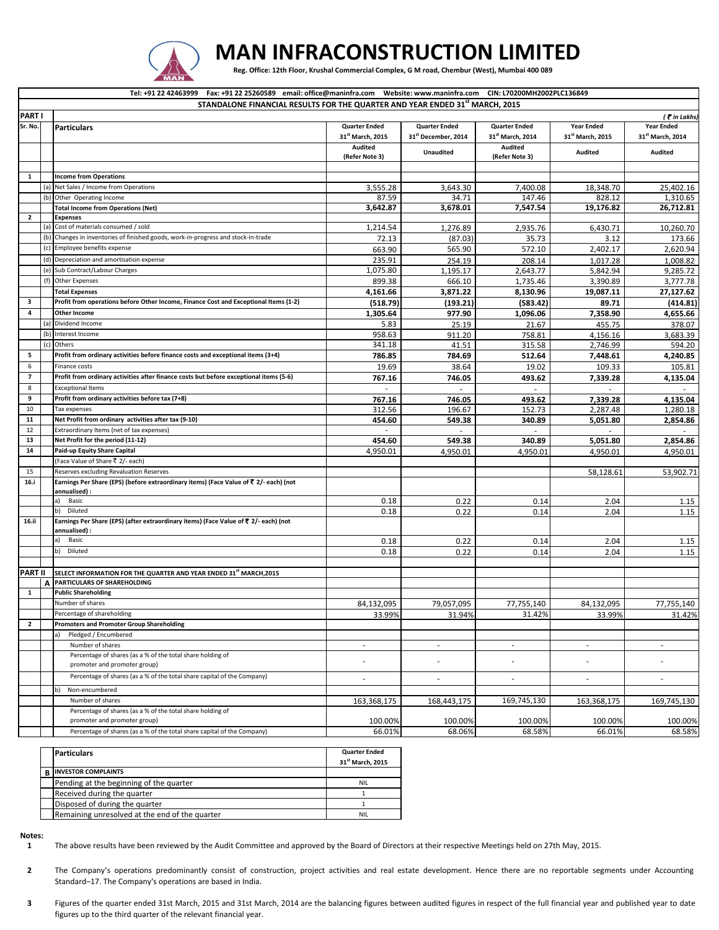

## **MAN INFRACONSTRUCTION LIMITED**

Reg. Office: 12th Floor, Krushal Commercial Complex, G M road, Chembur (West), Mumbai 400 089

|                                                                              | Tel: +91 22 42463999 Fax: +91 22 25260589 email: office@maninfra.com Website: www.maninfra.com CIN: L70200MH2002PLC136849 |                                                                                                                      |                              |                                 |                              |                              |                                  |  |  |  |  |
|------------------------------------------------------------------------------|---------------------------------------------------------------------------------------------------------------------------|----------------------------------------------------------------------------------------------------------------------|------------------------------|---------------------------------|------------------------------|------------------------------|----------------------------------|--|--|--|--|
| STANDALONE FINANCIAL RESULTS FOR THE QUARTER AND YEAR ENDED 31st MARCH, 2015 |                                                                                                                           |                                                                                                                      |                              |                                 |                              |                              |                                  |  |  |  |  |
| <b>PARTI</b>                                                                 |                                                                                                                           |                                                                                                                      |                              |                                 |                              |                              | $($ $\bar{\mathbf{r}}$ in Lakhs) |  |  |  |  |
| Sr. No.                                                                      |                                                                                                                           | <b>Particulars</b>                                                                                                   | <b>Quarter Ended</b>         | <b>Quarter Ended</b>            | <b>Quarter Ended</b>         | <b>Year Ended</b>            | <b>Year Ended</b>                |  |  |  |  |
|                                                                              |                                                                                                                           |                                                                                                                      | 31 <sup>st</sup> March, 2015 | 31 <sup>st</sup> December, 2014 | 31 <sup>st</sup> March, 2014 | 31 <sup>st</sup> March, 2015 | 31 <sup>st</sup> March, 2014     |  |  |  |  |
|                                                                              |                                                                                                                           |                                                                                                                      | <b>Audited</b>               | <b>Unaudited</b>                | Audited                      | <b>Audited</b>               | <b>Audited</b>                   |  |  |  |  |
|                                                                              |                                                                                                                           |                                                                                                                      | (Refer Note 3)               |                                 | (Refer Note 3)               |                              |                                  |  |  |  |  |
|                                                                              |                                                                                                                           |                                                                                                                      |                              |                                 |                              |                              |                                  |  |  |  |  |
| 1                                                                            |                                                                                                                           | <b>Income from Operations</b>                                                                                        |                              |                                 |                              |                              |                                  |  |  |  |  |
|                                                                              | (a)                                                                                                                       | Net Sales / Income from Operations                                                                                   | 3,555.28                     | 3,643.30                        | 7,400.08                     | 18,348.70                    | 25,402.16                        |  |  |  |  |
|                                                                              | (b)                                                                                                                       | Other Operating Income                                                                                               | 87.59                        | 34.71                           | 147.46                       | 828.12                       | 1,310.65                         |  |  |  |  |
|                                                                              |                                                                                                                           | <b>Total Income from Operations (Net)</b>                                                                            | 3,642.87                     | 3,678.01                        | 7,547.54                     | 19,176.82                    | 26,712.81                        |  |  |  |  |
| $\overline{2}$                                                               | (a)                                                                                                                       | <b>Expenses</b><br>Cost of materials consumed / sold                                                                 | 1,214.54                     |                                 | 2,935.76                     |                              | 10,260.70                        |  |  |  |  |
|                                                                              | (b)                                                                                                                       | Changes in inventories of finished goods, work-in-progress and stock-in-trade                                        |                              | 1,276.89                        |                              | 6,430.71                     |                                  |  |  |  |  |
|                                                                              | (c)                                                                                                                       | Employee benefits expense                                                                                            | 72.13                        | (87.03)                         | 35.73<br>572.10              | 3.12                         | 173.66                           |  |  |  |  |
|                                                                              |                                                                                                                           |                                                                                                                      | 663.90                       | 565.90                          |                              | 2,402.17                     | 2,620.94                         |  |  |  |  |
|                                                                              | (d)                                                                                                                       | Depreciation and amortisation expense                                                                                | 235.91                       | 254.19                          | 208.14                       | 1,017.28                     | 1,008.82                         |  |  |  |  |
|                                                                              | (e)<br>(f)                                                                                                                | Sub Contract/Labour Charges                                                                                          | 1,075.80                     | 1,195.17                        | 2,643.77                     | 5,842.94                     | 9,285.72                         |  |  |  |  |
|                                                                              |                                                                                                                           | <b>Other Expenses</b>                                                                                                | 899.38                       | 666.10                          | 1,735.46                     | 3,390.89                     | 3,777.78                         |  |  |  |  |
|                                                                              |                                                                                                                           | <b>Total Expenses</b>                                                                                                | 4,161.66                     | 3,871.22                        | 8,130.96                     | 19,087.11                    | 27,127.62                        |  |  |  |  |
| 3                                                                            |                                                                                                                           | Profit from operations before Other Income, Finance Cost and Exceptional Items (1-2)                                 | (518.79)                     | (193.21)                        | (583.42)                     | 89.71                        | (414.81)                         |  |  |  |  |
| $\overline{4}$                                                               |                                                                                                                           | <b>Other Income</b>                                                                                                  | 1,305.64                     | 977.90                          | 1,096.06                     | 7,358.90                     | 4,655.66                         |  |  |  |  |
|                                                                              | (a)                                                                                                                       | Dividend Income                                                                                                      | 5.83                         | 25.19                           | 21.67                        | 455.75                       | 378.07                           |  |  |  |  |
|                                                                              | (b)                                                                                                                       | Interest Income                                                                                                      | 958.63                       | 911.20                          | 758.81                       | 4,156.16                     | 3,683.39                         |  |  |  |  |
|                                                                              | (c)                                                                                                                       | Others                                                                                                               | 341.18                       | 41.51                           | 315.58                       | 2,746.99                     | 594.20                           |  |  |  |  |
| 5                                                                            |                                                                                                                           | Profit from ordinary activities before finance costs and exceptional items (3+4)                                     | 786.85                       | 784.69                          | 512.64                       | 7,448.61                     | 4,240.85                         |  |  |  |  |
| 6                                                                            |                                                                                                                           | Finance costs                                                                                                        | 19.69                        | 38.64                           | 19.02                        | 109.33                       | 105.81                           |  |  |  |  |
| $\overline{\phantom{a}}$                                                     |                                                                                                                           | Profit from ordinary activities after finance costs but before exceptional items (5-6)                               | 767.16                       | 746.05                          | 493.62                       | 7,339.28                     | 4,135.04                         |  |  |  |  |
| 8                                                                            |                                                                                                                           | <b>Exceptional Items</b>                                                                                             | $\mathcal{L}_{\mathcal{A}}$  | $\overline{a}$                  | $\overline{a}$               |                              |                                  |  |  |  |  |
| 9                                                                            |                                                                                                                           | Profit from ordinary activities before tax (7+8)                                                                     | 767.16                       | 746.05                          | 493.62                       | 7,339.28                     | 4,135.04                         |  |  |  |  |
| 10                                                                           |                                                                                                                           | Tax expenses                                                                                                         | 312.56                       | 196.67                          | 152.73                       | 2,287.48                     | 1,280.18                         |  |  |  |  |
| 11                                                                           |                                                                                                                           | Net Profit from ordinary activities after tax (9-10)                                                                 | 454.60                       | 549.38                          | 340.89                       | 5,051.80                     | 2,854.86                         |  |  |  |  |
| 12                                                                           |                                                                                                                           | Extraordinary Items (net of tax expenses)                                                                            |                              | $\sim$                          |                              | ٠                            |                                  |  |  |  |  |
| 13                                                                           |                                                                                                                           | Net Profit for the period (11-12)                                                                                    | 454.60                       | 549.38                          | 340.89                       | 5,051.80                     | 2,854.86                         |  |  |  |  |
| 14                                                                           |                                                                                                                           | Paid-up Equity Share Capital                                                                                         | 4,950.01                     | 4,950.01                        | 4,950.01                     | 4,950.01                     | 4,950.01                         |  |  |  |  |
|                                                                              |                                                                                                                           | (Face Value of Share ₹ 2/- each)                                                                                     |                              |                                 |                              |                              |                                  |  |  |  |  |
| 15                                                                           |                                                                                                                           | Reserves excluding Revaluation Reserves                                                                              |                              |                                 |                              | 58,128.61                    | 53,902.71                        |  |  |  |  |
| 16.i                                                                         |                                                                                                                           | Earnings Per Share (EPS) (before extraordinary items) (Face Value of ₹ 2/- each) (not<br>annualised) :               |                              |                                 |                              |                              |                                  |  |  |  |  |
|                                                                              |                                                                                                                           | a)<br>Basic                                                                                                          | 0.18                         | 0.22                            | 0.14                         | 2.04                         | 1.15                             |  |  |  |  |
|                                                                              |                                                                                                                           | b)<br>Diluted                                                                                                        | 0.18                         | 0.22                            | 0.14                         | 2.04                         | 1.15                             |  |  |  |  |
| 16.ii                                                                        |                                                                                                                           | Earnings Per Share (EPS) (after extraordinary items) (Face Value of ₹ 2/- each) (not                                 |                              |                                 |                              |                              |                                  |  |  |  |  |
|                                                                              |                                                                                                                           | annualised) :<br>Basic<br>a)                                                                                         |                              |                                 |                              |                              |                                  |  |  |  |  |
|                                                                              |                                                                                                                           |                                                                                                                      | 0.18                         | 0.22                            | 0.14                         | 2.04                         | 1.15                             |  |  |  |  |
|                                                                              |                                                                                                                           | Diluted<br>b)                                                                                                        | 0.18                         | 0.22                            | 0.14                         | 2.04                         | 1.15                             |  |  |  |  |
|                                                                              |                                                                                                                           |                                                                                                                      |                              |                                 |                              |                              |                                  |  |  |  |  |
| <b>PART II</b>                                                               | A                                                                                                                         | SELECT INFORMATION FOR THE QUARTER AND YEAR ENDED 31 <sup>st</sup> MARCH, 2015<br><b>PARTICULARS OF SHAREHOLDING</b> |                              |                                 |                              |                              |                                  |  |  |  |  |
| 1                                                                            |                                                                                                                           | <b>Public Shareholding</b>                                                                                           |                              |                                 |                              |                              |                                  |  |  |  |  |
|                                                                              |                                                                                                                           | Number of shares                                                                                                     | 84,132,095                   | 79,057,095                      | 77,755,140                   | 84,132,095                   | 77,755,140                       |  |  |  |  |
|                                                                              |                                                                                                                           | Percentage of shareholding                                                                                           | 33.99%                       | 31.94%                          | 31.42%                       | 33.99%                       | 31.42%                           |  |  |  |  |
| $\overline{2}$                                                               |                                                                                                                           | <b>Promoters and Promoter Group Shareholding</b>                                                                     |                              |                                 |                              |                              |                                  |  |  |  |  |
|                                                                              |                                                                                                                           | Pledged / Encumbered<br>a)                                                                                           |                              |                                 |                              |                              |                                  |  |  |  |  |
|                                                                              |                                                                                                                           | Number of shares                                                                                                     | $\overline{\phantom{a}}$     | $\overline{\phantom{a}}$        | $\sim$                       | $\sim$                       | $\overline{\phantom{a}}$         |  |  |  |  |
|                                                                              |                                                                                                                           | Percentage of shares (as a % of the total share holding of                                                           |                              |                                 |                              |                              |                                  |  |  |  |  |
|                                                                              |                                                                                                                           | promoter and promoter group)                                                                                         | $\overline{a}$               |                                 |                              | ÷,                           | ÷,                               |  |  |  |  |
|                                                                              |                                                                                                                           | Percentage of shares (as a % of the total share capital of the Company)                                              | $\overline{\phantom{a}}$     |                                 | $\sim$                       | $\overline{\phantom{a}}$     |                                  |  |  |  |  |
|                                                                              |                                                                                                                           |                                                                                                                      |                              | $\overline{\phantom{a}}$        |                              |                              | $\overline{\phantom{a}}$         |  |  |  |  |
|                                                                              |                                                                                                                           | Non-encumbered<br>b)                                                                                                 |                              |                                 |                              |                              |                                  |  |  |  |  |
|                                                                              |                                                                                                                           | Number of shares                                                                                                     | 163,368,175                  | 168,443,175                     | 169,745,130                  | 163,368,175                  | 169,745,130                      |  |  |  |  |
|                                                                              |                                                                                                                           | Percentage of shares (as a % of the total share holding of<br>promoter and promoter group)                           | 100.00%                      | 100.00%                         |                              | 100.00%                      |                                  |  |  |  |  |
|                                                                              |                                                                                                                           | Percentage of shares (as a % of the total share capital of the Company)                                              | 66.01%                       | 68.06%                          | 100.00%<br>68.58%            | 66.01%                       | 100.00%<br>68.58%                |  |  |  |  |
|                                                                              |                                                                                                                           |                                                                                                                      |                              |                                 |                              |                              |                                  |  |  |  |  |

|                                                | 31 <sup>st</sup> March, 2015 |
|------------------------------------------------|------------------------------|
| <b>B INVESTOR COMPLAINTS</b>                   |                              |
| Pending at the beginning of the quarter        | <b>NIL</b>                   |
| Received during the quarter                    |                              |
| Disposed of during the quarter                 |                              |
| Remaining unresolved at the end of the quarter | <b>NIL</b>                   |

**Particulars Quarter Ended** 

## **Notes:**

**1** The above results have been reviewed by the Audit Committee and approved by the Board of Directors at their respective Meetings held on 27th May, 2015.

- **2** The Company's operations predominantly consist of construction, project activities and real estate development. Hence there are no reportable segments under Accounting Standard–17. The Company's operations are based in India.
- **3** Figures of the quarter ended 31st March, 2015 and 31st March, 2014 are the balancing figures between audited figures in respect of the full financial year and published year to date figures up to the third quarter of the relevant financial year.